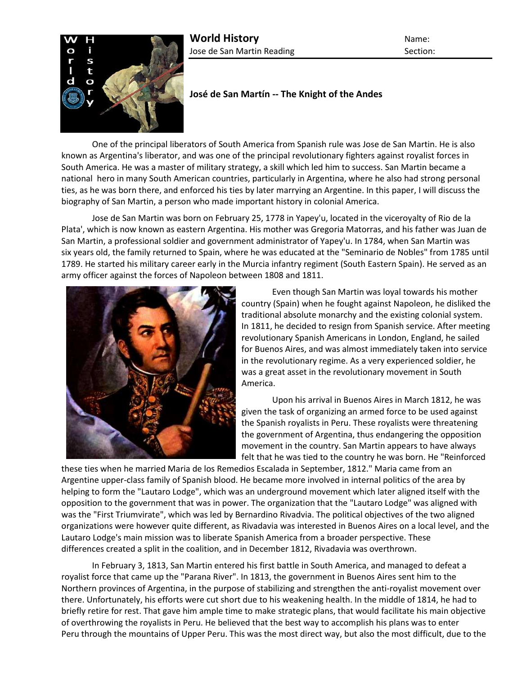

## **José de San Martín -- The Knight of the Andes**

One of the principal liberators of South America from Spanish rule was Jose de San Martin. He is also known as Argentina's liberator, and was one of the principal revolutionary fighters against royalist forces in South America. He was a master of military strategy, a skill which led him to success. San Martin became a national hero in many South American countries, particularly in Argentina, where he also had strong personal ties, as he was born there, and enforced his ties by later marrying an Argentine. In this paper, I will discuss the biography of San Martin, a person who made important history in colonial America.

Jose de San Martin was born on February 25, 1778 in Yapey'u, located in the viceroyalty of Rio de la Plata', which is now known as eastern Argentina. His mother was Gregoria Matorras, and his father was Juan de San Martin, a professional soldier and government administrator of Yapey'u. In 1784, when San Martin was six years old, the family returned to Spain, where he was educated at the "Seminario de Nobles" from 1785 until 1789. He started his military career early in the Murcia infantry regiment (South Eastern Spain). He served as an army officer against the forces of Napoleon between 1808 and 1811.



Even though San Martin was loyal towards his mother country (Spain) when he fought against Napoleon, he disliked the traditional absolute monarchy and the existing colonial system. In 1811, he decided to resign from Spanish service. After meeting revolutionary Spanish Americans in London, England, he sailed for Buenos Aires, and was almost immediately taken into service in the revolutionary regime. As a very experienced soldier, he was a great asset in the revolutionary movement in South America.

Upon his arrival in Buenos Aires in March 1812, he was given the task of organizing an armed force to be used against the Spanish royalists in Peru. These royalists were threatening the government of Argentina, thus endangering the opposition movement in the country. San Martin appears to have always felt that he was tied to the country he was born. He "Reinforced

these ties when he married Maria de los Remedios Escalada in September, 1812." Maria came from an Argentine upper-class family of Spanish blood. He became more involved in internal politics of the area by helping to form the "Lautaro Lodge", which was an underground movement which later aligned itself with the opposition to the government that was in power. The organization that the "Lautaro Lodge" was aligned with was the "First Triumvirate", which was led by Bernardino Rivadvia. The political objectives of the two aligned organizations were however quite different, as Rivadavia was interested in Buenos Aires on a local level, and the Lautaro Lodge's main mission was to liberate Spanish America from a broader perspective. These differences created a split in the coalition, and in December 1812, Rivadavia was overthrown.

In February 3, 1813, San Martin entered his first battle in South America, and managed to defeat a royalist force that came up the "Parana River". In 1813, the government in Buenos Aires sent him to the Northern provinces of Argentina, in the purpose of stabilizing and strengthen the anti-royalist movement over there. Unfortunately, his efforts were cut short due to his weakening health. In the middle of 1814, he had to briefly retire for rest. That gave him ample time to make strategic plans, that would facilitate his main objective of overthrowing the royalists in Peru. He believed that the best way to accomplish his plans was to enter Peru through the mountains of Upper Peru. This was the most direct way, but also the most difficult, due to the